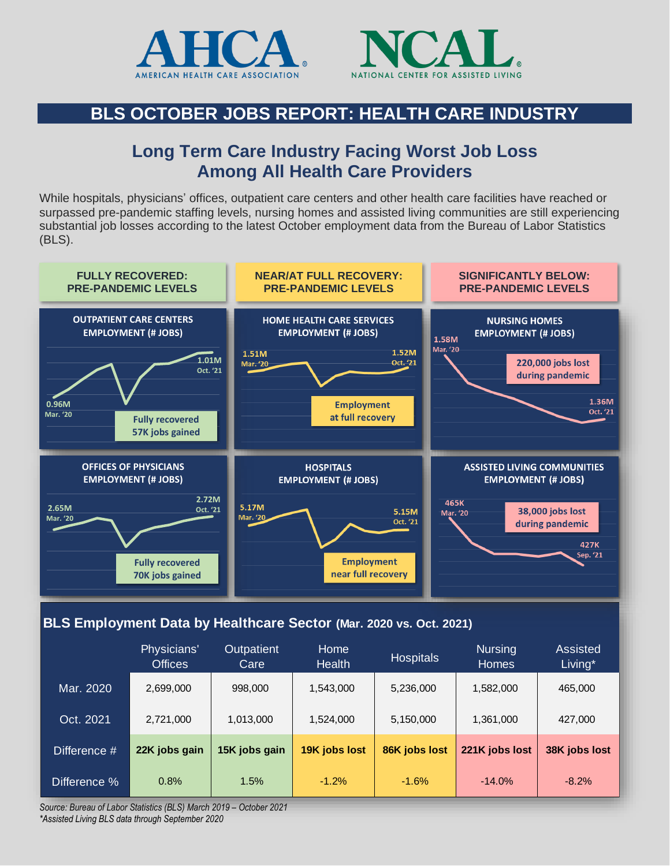



#### **BLS OCTOBER JOBS REPORT: HEALTH CARE INDUSTRY**

#### **Long Term Care Industry Facing Worst Job Loss Among All Health Care Providers**

While hospitals, physicians' offices, outpatient care centers and other health care facilities have reached or surpassed pre-pandemic staffing levels, nursing homes and assisted living communities are still experiencing substantial job losses according to the latest October employment data from the Bureau of Labor Statistics (BLS).



#### **BLS Employment Data by Healthcare Sector (Mar. 2020 vs. Oct. 2021)**

|              | Physicians'<br><b>Offices</b> | <b>Outpatient</b><br>Care | Home<br><b>Health</b> | <b>Hospitals</b> | <b>Nursing</b><br><b>Homes</b> | <b>Assisted</b><br>Living* |
|--------------|-------------------------------|---------------------------|-----------------------|------------------|--------------------------------|----------------------------|
| Mar. 2020    | 2,699,000                     | 998,000                   | 1,543,000             | 5,236,000        | 1,582,000                      | 465,000                    |
| Oct. 2021    | 2,721,000                     | 1,013,000                 | 1,524,000             | 5,150,000        | 1,361,000                      | 427,000                    |
| Difference # | 22K jobs gain                 | 15K jobs gain             | 19K jobs lost         | 86K jobs lost    | 221K jobs lost                 | 38K jobs lost              |
| Difference % | 0.8%                          | 1.5%                      | $-1.2%$               | $-1.6%$          | $-14.0%$                       | $-8.2\%$                   |

*Source: Bureau of Labor Statistics (BLS) March 2019 – October 2021 \*Assisted Living BLS data through September 2020*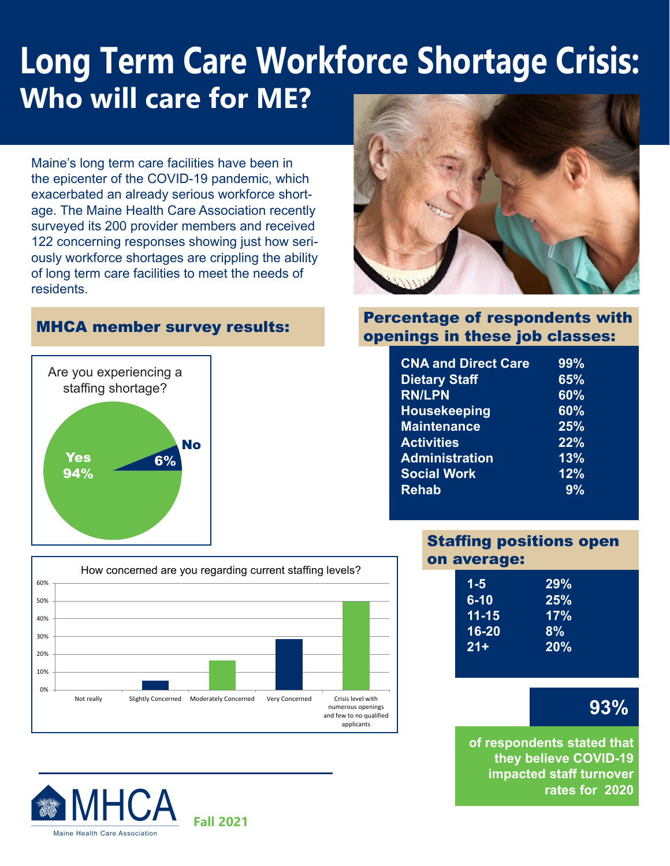# **Long Term Care Workforce Shortage Crisis: Who will care for ME?**

Maine's long term care facilities have been in the epicenter of the COVID-19 pandemic, which exacerbated an already serious workforce shortage. The Maine Health Care Association recently surveyed its 200 provider members and received 122 concerning responses showing just how seriously workforce shortages are crippling the ability of long term care facilities to meet the needs of residents.

#### MHCA member survey results:









#### Percentage of respondents with openings in these job classes:

| <b>CNA and Direct Care</b> | 99% |
|----------------------------|-----|
| <b>Dietary Staff</b>       | 65% |
| <b>RN/LPN</b>              | 60% |
| <b>Housekeeping</b>        | 60% |
| <b>Maintenance</b>         | 25% |
| <b>Activities</b>          | 22% |
| <b>Administration</b>      | 13% |
| <b>Social Work</b>         | 12% |
| <b>Rehab</b>               | 9%  |

#### Staffing positions open on average:

| $1 - 5$   | 29% |
|-----------|-----|
| $6 - 10$  | 25% |
| $11 - 15$ | 17% |
| 16-20     | 8%  |
| $21 +$    | 20% |
|           |     |

### **93%**

**of respondents stated that they believe COVID-19 impacted staff turnover rates for 2020**